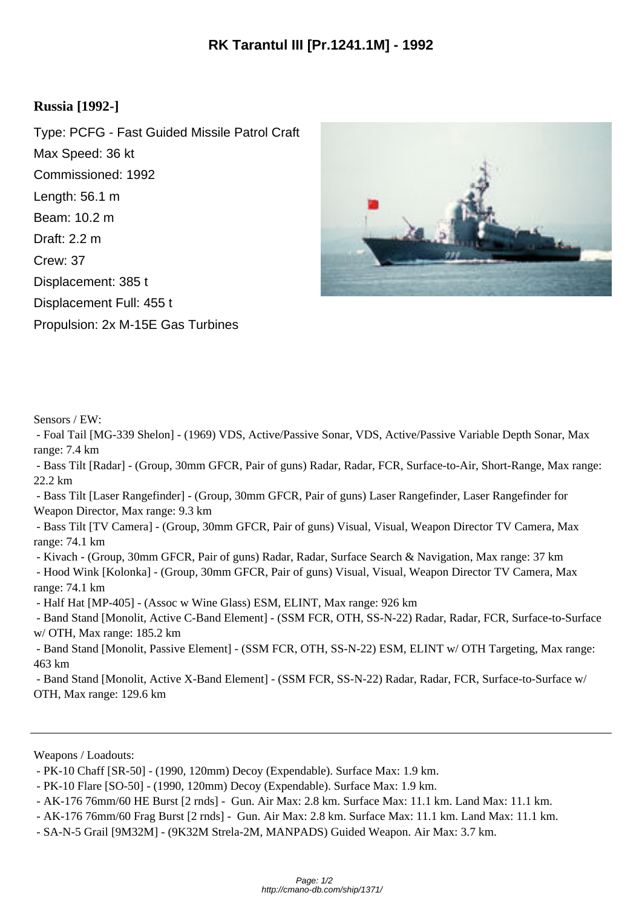## **Russia [1992-]**

Type: PCFG - Fast Guided Missile Patrol Craft Max Speed: 36 kt Commissioned: 1992 Length: 56.1 m Beam: 10.2 m Draft: 2.2 m Crew: 37 Displacement: 385 t Displacement Full: 455 t Propulsion: 2x M-15E Gas Turbines



Sensors / EW:

 - Foal Tail [MG-339 Shelon] - (1969) VDS, Active/Passive Sonar, VDS, Active/Passive Variable Depth Sonar, Max range: 7.4 km

 - Bass Tilt [Radar] - (Group, 30mm GFCR, Pair of guns) Radar, Radar, FCR, Surface-to-Air, Short-Range, Max range: 22.2 km

 - Bass Tilt [Laser Rangefinder] - (Group, 30mm GFCR, Pair of guns) Laser Rangefinder, Laser Rangefinder for Weapon Director, Max range: 9.3 km

 - Bass Tilt [TV Camera] - (Group, 30mm GFCR, Pair of guns) Visual, Visual, Weapon Director TV Camera, Max range: 74.1 km

- Kivach - (Group, 30mm GFCR, Pair of guns) Radar, Radar, Surface Search & Navigation, Max range: 37 km

 - Hood Wink [Kolonka] - (Group, 30mm GFCR, Pair of guns) Visual, Visual, Weapon Director TV Camera, Max range: 74.1 km

- Half Hat [MP-405] - (Assoc w Wine Glass) ESM, ELINT, Max range: 926 km

 - Band Stand [Monolit, Active C-Band Element] - (SSM FCR, OTH, SS-N-22) Radar, Radar, FCR, Surface-to-Surface w/ OTH, Max range: 185.2 km

 - Band Stand [Monolit, Passive Element] - (SSM FCR, OTH, SS-N-22) ESM, ELINT w/ OTH Targeting, Max range: 463 km

 - Band Stand [Monolit, Active X-Band Element] - (SSM FCR, SS-N-22) Radar, Radar, FCR, Surface-to-Surface w/ OTH, Max range: 129.6 km

Weapons / Loadouts:

 <sup>-</sup> PK-10 Chaff [SR-50] - (1990, 120mm) Decoy (Expendable). Surface Max: 1.9 km.

 <sup>-</sup> PK-10 Flare [SO-50] - (1990, 120mm) Decoy (Expendable). Surface Max: 1.9 km.

 <sup>-</sup> AK-176 76mm/60 HE Burst [2 rnds] - Gun. Air Max: 2.8 km. Surface Max: 11.1 km. Land Max: 11.1 km.

 <sup>-</sup> AK-176 76mm/60 Frag Burst [2 rnds] - Gun. Air Max: 2.8 km. Surface Max: 11.1 km. Land Max: 11.1 km.

 <sup>-</sup> SA-N-5 Grail [9M32M] - (9K32M Strela-2M, MANPADS) Guided Weapon. Air Max: 3.7 km.